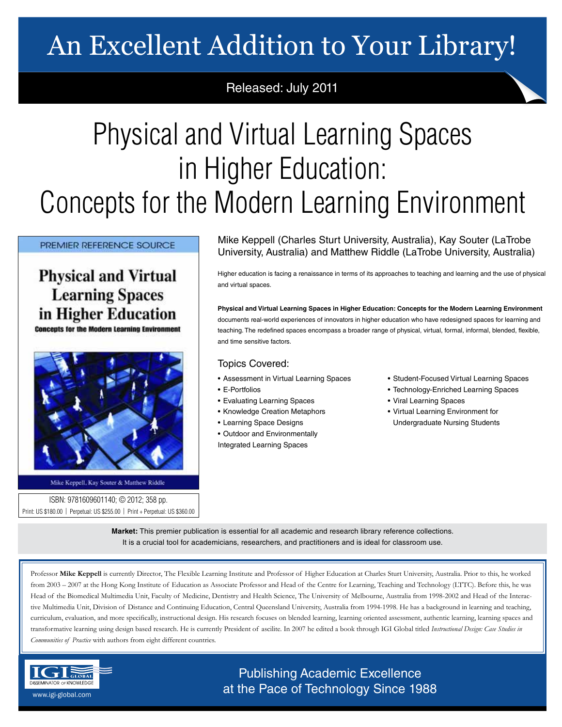# An Excellent Addition to Your Library!

### Released: July 2011

# Physical and Virtual Learning Spaces in Higher Education: Concepts for the Modern Learning Environment

PREMIER REFERENCE SOURCE

### **Physical and Virtual Learning Spaces** in Higher Education

**Concepts for the Modern Learning Environment** 



Mike Keppell, Kay Souter & Matthew Riddle

ISBN: 9781609601140; © 2012; 358 pp. Print: US \$180.00 | Perpetual: US \$255.00 | Print + Perpetual: US \$360.00 Mike Keppell (Charles Sturt University, Australia), Kay Souter (LaTrobe University, Australia) and Matthew Riddle (LaTrobe University, Australia)

Higher education is facing a renaissance in terms of its approaches to teaching and learning and the use of physical and virtual spaces.

**Physical and Virtual Learning Spaces in Higher Education: Concepts for the Modern Learning Environment** documents real-world experiences of innovators in higher education who have redesigned spaces for learning and teaching. The redefined spaces encompass a broader range of physical, virtual, formal, informal, blended, flexible, and time sensitive factors.

#### Topics Covered:

- Assessment in Virtual Learning Spaces
- E-Portfolios
- Evaluating Learning Spaces
- Knowledge Creation Metaphors
- Learning Space Designs
- Outdoor and Environmentally Integrated Learning Spaces
- Student-Focused Virtual Learning Spaces
- Technology-Enriched Learning Spaces
- Viral Learning Spaces
- Virtual Learning Environment for Undergraduate Nursing Students

**Market:** This premier publication is essential for all academic and research library reference collections. It is a crucial tool for academicians, researchers, and practitioners and is ideal for classroom use.

Professor **Mike Keppell** is currently Director, The Flexible Learning Institute and Professor of Higher Education at Charles Sturt University, Australia. Prior to this, he worked from 2003 – 2007 at the Hong Kong Institute of Education as Associate Professor and Head of the Centre for Learning, Teaching and Technology (LTTC). Before this, he was Head of the Biomedical Multimedia Unit, Faculty of Medicine, Dentistry and Health Science, The University of Melbourne, Australia from 1998-2002 and Head of the Interactive Multimedia Unit, Division of Distance and Continuing Education, Central Queensland University, Australia from 1994-1998. He has a background in learning and teaching, curriculum, evaluation, and more specifically, instructional design. His research focuses on blended learning, learning oriented assessment, authentic learning, learning spaces and transformative learning using design based research. He is currently President of ascilite. In 2007 he edited a book through IGI Global titled *Instructional Design: Case Studies in Communities of Practice* with authors from eight different countries.



Publishing Academic Excellence **ALSEMINATOR OF KNOWLEDGE at the Pace of Technology Since 1988** www.igi-global.com